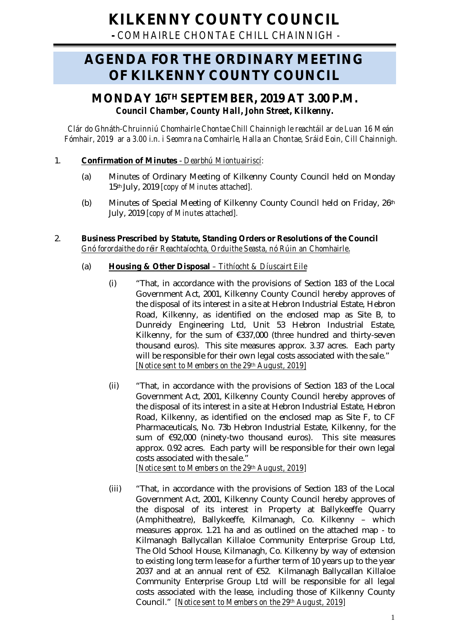# **KILKENNY COUNTY COUNCIL**

**-** *COMHAIRLE CHONTAE CHILL CHAINNIGH -*

# **AGENDA FOR THE ORDINARY MEETING OF KILKENNY COUNTY COUNCIL**

# **MONDAY 16 TH SEPTEMBER, 2019 AT 3.00 P.M.** *Council Chamber, County Hall, John Street, Kilkenny.*

*Clár do Ghnáth-Chruinniú Chomhairle Chontae Chill Chainnigh le reachtáil ar de Luan 16 Meán Fómhair, 2019 ar a 3.00 i.n. i Seomra na Comhairle, Halla an Chontae, Sráid Eoin, Cill Chainnigh.*

# 1. **Confirmation of Minutes** - *Dearbhú Miontuairiscí:*

- (a) Minutes of Ordinary Meeting of Kilkenny County Council held on Monday 15th July, 2019 *[copy of Minutes attached].*
- (b) Minutes of Special Meeting of Kilkenny County Council held on Friday, 26th July, 2019 *[copy of Minutes attached].*
- 2. **Business Prescribed by Statute, Standing Orders or Resolutions of the Council** *Gnó forordaithe do réir Reachtaíochta, Orduithe Seasta, nó Rúin an Chomhairle*.

# (a) **Housing & Other Disposal** *– Tithíocht & Díuscairt Eile*

- (i) "That, in accordance with the provisions of Section 183 of the Local Government Act, 2001, Kilkenny County Council hereby approves of the disposal of its interest in a site at Hebron Industrial Estate, Hebron Road, Kilkenny, as identified on the enclosed map as Site B, to Dunreidy Engineering Ltd, Unit 53 Hebron Industrial Estate, Kilkenny, for the sum of €337,000 (three hundred and thirty-seven thousand euros). This site measures approx. 3.37 acres. Each party will be responsible for their own legal costs associated with the sale." *[Notice sent to Members on the 29th August, 2019]*
- (ii) "That, in accordance with the provisions of Section 183 of the Local Government Act, 2001, Kilkenny County Council hereby approves of the disposal of its interest in a site at Hebron Industrial Estate, Hebron Road, Kilkenny, as identified on the enclosed map as Site F, to CF Pharmaceuticals, No. 73b Hebron Industrial Estate, Kilkenny, for the sum of €92,000 (ninety-two thousand euros). This site measures approx. 0.92 acres. Each party will be responsible for their own legal costs associated with the sale." *[Notice sent to Members on the 29th August, 2019]*
- (iii) "That, in accordance with the provisions of Section 183 of the Local Government Act, 2001, Kilkenny County Council hereby approves of the disposal of its interest in Property at Ballykeeffe Quarry (Amphitheatre), Ballykeeffe, Kilmanagh, Co. Kilkenny – which measures approx. 1.21 ha and as outlined on the attached map - to Kilmanagh Ballycallan Killaloe Community Enterprise Group Ltd, The Old School House, Kilmanagh, Co. Kilkenny by way of extension to existing long term lease for a further term of 10 years up to the year 2037 and at an annual rent of €52. Kilmanagh Ballycallan Killaloe Community Enterprise Group Ltd will be responsible for all legal costs associated with the lease, including those of Kilkenny County Council." *[Notice sent to Members on the 29th August, 2019]*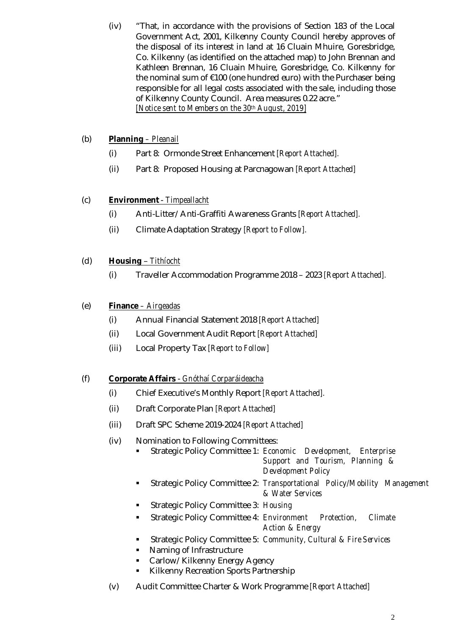(iv) "That, in accordance with the provisions of Section 183 of the Local Government Act, 2001, Kilkenny County Council hereby approves of the disposal of its interest in land at 16 Cluain Mhuire, Goresbridge, Co. Kilkenny (as identified on the attached map) to John Brennan and Kathleen Brennan, 16 Cluain Mhuire, Goresbridge, Co. Kilkenny for the nominal sum of €100 (one hundred euro) with the Purchaser being responsible for all legal costs associated with the sale, including those of Kilkenny County Council. Area measures 0.22 acre." *[Notice sent to Members on the 30th August, 2019]*

# (b) **Planning** *– Pleanail*

- (i) Part 8: Ormonde Street Enhancement *[Report Attached].*
- (ii) Part 8: Proposed Housing at Parcnagowan *[Report Attached]*

# (c) **Environment** - *Timpeallacht*

- (i) Anti-Litter/Anti-Graffiti Awareness Grants *[Report Attached].*
- (ii) Climate Adaptation Strategy *[Report to Follow].*

# (d) **Housing** – *Tithíocht*

(i) Traveller Accommodation Programme 2018 – 2023 *[Report Attached].*

# (e) **Finance** *– Airgeadas*

- (i) Annual Financial Statement 2018 *[Report Attached]*
- (ii) Local Government Audit Report *[Report Attached]*
- (iii) Local Property Tax *[Report to Follow]*

# (f) **Corporate Affairs** - *Gnóthaí Corparáideacha*

- (i) Chief Executive's Monthly Report *[Report Attached].*
- (ii) Draft Corporate Plan *[Report Attached]*
- (iii) Draft SPC Scheme 2019-2024 *[Report Attached]*
- (iv) Nomination to Following Committees:
	- Strategic Policy Committee 1: *Economic Development, Enterprise Support and Tourism, Planning & Development Policy*
	- Strategic Policy Committee 2: *Transportational Policy/Mobility Management & Water Services*
	- Strategic Policy Committee 3: *Housing*
	- Strategic Policy Committee 4: *Environment Protection, Climate Action & Energy*
	- Strategic Policy Committee 5: *Community, Cultural & Fire Services*
	- Naming of Infrastructure
	- Carlow/Kilkenny Energy Agency
	- Kilkenny Recreation Sports Partnership
- (v) Audit Committee Charter & Work Programme *[Report Attached]*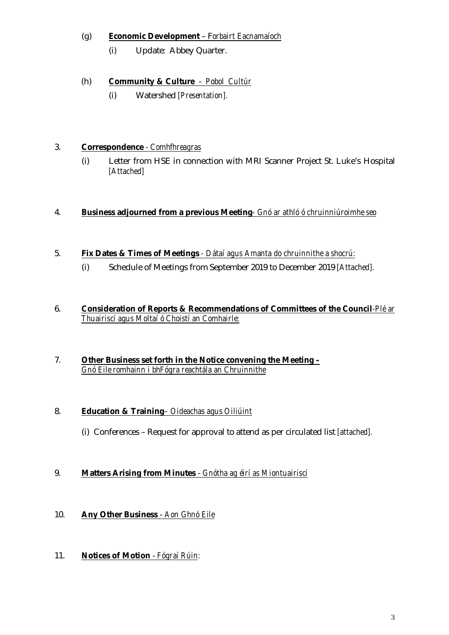# (g) **Economic Development** – F*orbairt Eacnamaíoch*

(i) Update: Abbey Quarter.

# (h) **Community & Culture** - *Pobol Cultúr*

(i) Watershed *[Presentation].*

#### 3. **Correspondence** *- Comhfhreagras*

(i) Letter from HSE in connection with MRI Scanner Project St. Luke's Hospital *[Attached]*

#### 4. **Business adjourned from a previous Meeting***- Gnó ar athló ó chruinniúroimhe seo*

### 5. **Fix Dates & Times of Meetings** *- Dátaí agus Amanta do chruinnithe a shocrú:*

(i) Schedule of Meetings from September 2019 to December 2019 *[Attached].*

#### 6. **Consideration of Reports & Recommendations of Committees of the Council***-Plé ar Thuairiscí agus Moltaí ó Choistí an Comhairle:*

#### 7. **Other Business set forth in the Notice convening the Meeting –** *Gnó Eile romhainn i bhFógra reachtála an Chruinnithe*

#### 8. **Education & Training***– Oideachas agus Oiliúint*

(i) Conferences – Request for approval to attend as per circulated list *[attached].*

# 9. **Matters Arising from Minutes** - *Gnótha ag éirí as Miontuairiscí*

# 10. **Any Other Business** - *Aon Ghnó Eile*

# 11. **Notices of Motion** - *Fógraí Rúin:*